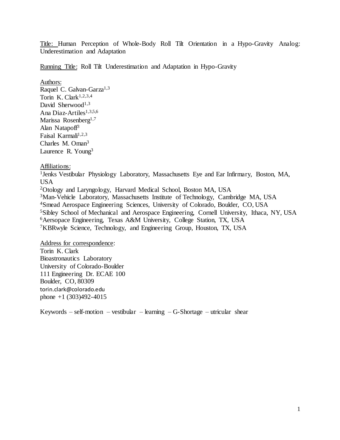Title: Human Perception of Whole-Body Roll Tilt Orientation in a Hypo-Gravity Analog: Underestimation and Adaptation

Running Title: Roll Tilt Underestimation and Adaptation in Hypo-Gravity

Authors: Raquel C. Galvan-Garza<sup>1,3</sup> Torin K. Clark<sup>1,2,3,4</sup> David Sherwood<sup>1,3</sup> Ana Diaz-Artiles<sup>1,3,5,6</sup> Marissa Rosenberg<sup>1,7</sup> Alan Natapoff<sup>3</sup> Faisal Karmali $1,2,3$ Charles M. Oman<sup>3</sup> Laurence R. Young<sup>3</sup>

Affiliations:

<sup>1</sup>Jenks Vestibular Physiology Laboratory, Massachusetts Eye and Ear Infirmary, Boston, MA, USA

Otology and Laryngology, Harvard Medical School, Boston MA, USA Man-Vehicle Laboratory, Massachusetts Institute of Technology, Cambridge MA, USA Smead Aerospace Engineering Sciences, University of Colorado, Boulder, CO, USA Sibley School of Mechanical and Aerospace Engineering, Cornell University, Ithaca, NY, USA Aersopace Engineering, Texas A&M University, College Station, TX, USA KBRwyle Science, Technology, and Engineering Group, Houston, TX, USA

Address for correspondence: Torin K. Clark Bioastronautics Laboratory University of Colorado-Boulder 111 Engineering Dr. ECAE 100 Boulder, CO, 80309 torin.clark@colorado.edu phone +1 (303)492-4015

Keywords – self-motion – vestibular – learning – G-Shortage – utricular shear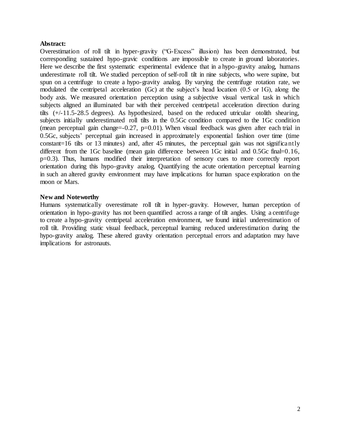## **Abstract:**

Overestimation of roll tilt in hyper-gravity ("G-Excess" illusion) has been demonstrated, but corresponding sustained hypo-gravic conditions are impossible to create in ground laboratories. Here we describe the first systematic experimental evidence that in a hypo-gravity analog, humans underestimate roll tilt. We studied perception of self-roll tilt in nine subjects, who were supine, but spun on a centrifuge to create a hypo-gravity analog. By varying the centrifuge rotation rate, we modulated the centripetal acceleration (Gc) at the subject's head location (0.5 or 1G), along the body axis. We measured orientation perception using a subjective visual vertical task in which subjects aligned an illuminated bar with their perceived centripetal acceleration direction during tilts (+/-11.5-28.5 degrees). As hypothesized, based on the reduced utricular otolith shearing, subjects initially underestimated roll tilts in the 0.5Gc condition compared to the 1Gc condition (mean perceptual gain change= $-0.27$ , p= $0.01$ ). When visual feedback was given after each trial in 0.5Gc, subjects' perceptual gain increased in approximately exponential fashion over time (time constant=16 tilts or 13 minutes) and, after 45 minutes, the perceptual gain was not significantly different from the 1Gc baseline (mean gain difference between 1Gc initial and 0.5Gc final=0.16, p=0.3). Thus, humans modified their interpretation of sensory cues to more correctly report orientation during this hypo-gravity analog. Quantifying the acute orientation perceptual learning in such an altered gravity environment may have implications for human space exploration on the moon or Mars.

## **New and Noteworthy**

Humans systematically overestimate roll tilt in hyper-gravity. However, human perception of orientation in hypo-gravity has not been quantified across a range of tilt angles. Using a centrifuge to create a hypo-gravity centripetal acceleration environment, we found initial underestimation of roll tilt. Providing static visual feedback, perceptual learning reduced underestimation during the hypo-gravity analog. These altered gravity orientation perceptual errors and adaptation may have implications for astronauts.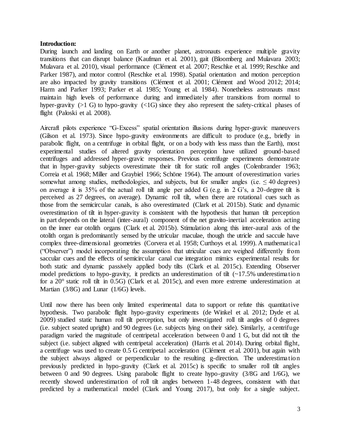### **Introduction:**

During launch and landing on Earth or another planet, astronauts experience multiple gravity transitions that can disrupt balance (Kaufman et al. 2001), gait (Bloomberg and Mulavara 2003; Mulavara et al. 2010), visual performance (Clément et al. 2007; Reschke et al. 1999; Reschke and Parker 1987), and motor control (Reschke et al. 1998). Spatial orientation and motion perception are also impacted by gravity transitions (Clément et al. 2001; Clément and Wood 2012; 2014; Harm and Parker 1993; Parker et al. 1985; Young et al. 1984). Nonetheless astronauts must maintain high levels of performance during and immediately after transitions from normal to hyper-gravity ( $>1$  G) to hypo-gravity ( $<1$ G) since they also represent the safety-critical phases of flight (Paloski et al. 2008).

Aircraft pilots experience "G-Excess" spatial orientation illusions during hyper-gravic maneuvers (Gilson et al. 1973). Since hypo-gravity environments are difficult to produce (e.g., briefly in parabolic flight, on a centrifuge in orbital flight, or on a body with less mass than the Earth), most experimental studies of altered gravity orientation perception have utilized ground-based centrifuges and addressed hyper-gravic responses. Previous centrifuge experiments demonstrate that in hyper-gravity subjects overestimate their tilt for static roll angles (Colenbrander 1963; Correia et al. 1968; Miller and Graybiel 1966; Schöne 1964). The amount of overestimation varies somewhat among studies, methodologies, and subjects, but for smaller angles (i.e.  $\leq 40$  degrees) on average it is 35% of the actual roll tilt angle per added G (e.g. in 2 G's, a 20-degree tilt is perceived as 27 degrees, on average). Dynamic roll tilt, when there are rotational cues such as those from the semicircular canals, is also overestimated (Clark et al. 2015b). Static and dynamic overestimation of tilt in hyper-gravity is consistent with the hypothesis that human tilt perception in part depends on the lateral (inter-aural) component of the net gravito-inertial acceleration acting on the inner ear otolith organs (Clark et al. 2015b). Stimulation along this inter-aural axis of the otolith organ is predominantly sensed by the utricular maculae, though the utricle and saccule have complex three-dimensional geometries (Corvera et al. 1958; Curthoys et al. 1999). A mathematical ("Observer") model incorporating the assumption that utricular cues are weighed differently from saccular cues and the effects of semicircular canal cue integration mimics experimental results for both static and dynamic passively applied body tilts (Clark et al. 2015c). Extending Observer model predictions to hypo-gravity, it predicts an underestimation of tilt  $\left(\sim 17.5\%$  underestimation for a 20° static roll tilt in 0.5G) (Clark et al. 2015c), and even more extreme underestimation at Martian (3/8G) and Lunar (1/6G) levels.

Until now there has been only limited experimental data to support or refute this quantitative hypothesis. Two parabolic flight hypo-gravity experiments (de Winkel et al. 2012; Dyde et al. 2009) studied static human roll tilt perception, but only investigated roll tilt angles of 0 degrees (i.e. subject seated upright) and 90 degrees (i.e. subjects lying on their side). Similarly, a centrifuge paradigm varied the magnitude of centripetal acceleration between 0 and 1 G, but did not tilt the subject (i.e. subject aligned with centripetal acceleration) (Harris et al. 2014). During orbital flight, a centrifuge was used to create 0.5 G centripetal acceleration (Clément et al. 2001), but again with the subject always aligned or perpendicular to the resulting g-direction. The underestimation previously predicted in hypo-gravity (Clark et al. 2015c) is specific to smaller roll tilt angles between 0 and 90 degrees. Using parabolic flight to create hypo-gravity (3/8G and 1/6G), we recently showed underestimation of roll tilt angles between 1-48 degrees, consistent with that predicted by a mathematical model (Clark and Young 2017), but only for a single subject.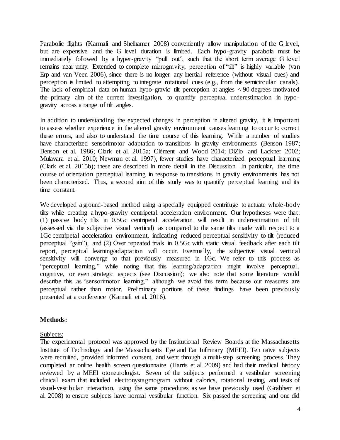Parabolic flights (Karmali and Shelhamer 2008) conveniently allow manipulation of the G level, but are expensive and the G level duration is limited. Each hypo-gravity parabola must be immediately followed by a hyper-gravity "pull out", such that the short term average G level remains near unity. Extended to complete microgravity, perception of "tilt" is highly variable (van Erp and van Veen 2006), since there is no longer any inertial reference (without visual cues) and perception is limited to attempting to integrate rotational cues (e.g., from the semicircular canals). The lack of empirical data on human hypo-gravic tilt perception at angles < 90 degrees motivated the primary aim of the current investigation, to quantify perceptual underestimation in hypogravity across a range of tilt angles.

In addition to understanding the expected changes in perception in altered gravity, it is important to assess whether experience in the altered gravity environment causes learning to occur to correct these errors, and also to understand the time course of this learning. While a number of studies have characterized sensorimotor adaptation to transitions in gravity environments (Benson 1987; Benson et al. 1986; Clark et al. 2015a; Clément and Wood 2014; DiZio and Lackner 2002; Mulavara et al. 2010; Newman et al. 1997), fewer studies have characterized perceptual learning (Clark et al. 2015b); these are described in more detail in the Discussion. In particular, the time course of orientation perceptual learning in response to transitions in gravity environments has not been characterized. Thus, a second aim of this study was to quantify perceptual learning and its time constant.

We developed a ground-based method using a specially equipped centrifuge to actuate whole-body tilts while creating a hypo-gravity centripetal acceleration environment. Our hypotheses were that: (1) passive body tilts in 0.5Gc centripetal acceleration will result in underestimation of tilt (assessed via the subjective visual vertical) as compared to the same tilts made with respect to a 1Gc centripetal acceleration environment, indicating reduced perceptual sensitivity to tilt (reduced perceptual "gain"), and (2) Over repeated trials in 0.5Gc with static visual feedback after each tilt report, perceptual learning/adaptation will occur. Eventually, the subjective visual vertical sensitivity will converge to that previously measured in 1Gc. We refer to this process as "perceptual learning," while noting that this learning/adaptation might involve perceptual, cognitive, or even strategic aspects (see Discussion); we also note that some literature would describe this as "sensorimotor learning," although we avoid this term because our measures are perceptual rather than motor. Preliminary portions of these findings have been previously presented at a conference (Karmali et al. 2016).

## **Methods:**

### Subjects:

The experimental protocol was approved by the Institutional Review Boards at the Massachusetts Institute of Technology and the Massachusetts Eye and Ear Infirmary (MEEI). Ten naïve subjects were recruited, provided informed consent, and went through a multi-step screening process. They completed an online health screen questionnaire (Harris et al. 2009) and had their medical history reviewed by a MEEI otoneurologist. Seven of the subjects performed a vestibular screening clinical exam that included electronystagmogram without calorics, rotational testing, and tests of visual-vestibular interaction, using the same procedures as we have previously used (Grabherr et al. 2008) to ensure subjects have normal vestibular function. Six passed the screening and one did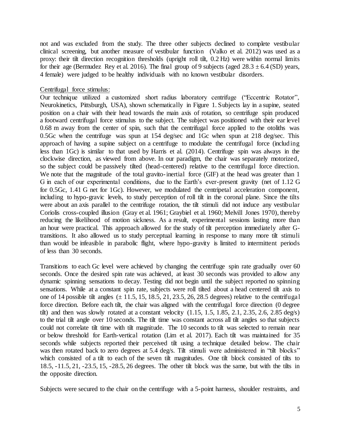not and was excluded from the study. The three other subjects declined to complete vestibular clinical screening, but another measure of vestibular function (Valko et al. 2012) was used as a proxy: their tilt direction recognition thresholds (upright roll tilt, 0.2 Hz) were within normal limits for their age (Bermudez Rey et al. 2016). The final group of 9 subjects (aged  $28.3 \pm 6.4$  (SD) years, 4 female) were judged to be healthy individuals with no known vestibular disorders.

### Centrifugal force stimulus:

Our technique utilized a customized short radius laboratory centrifuge ("Eccentric Rotator", Neurokinetics, Pittsburgh, USA), shown schematically in Figure 1. Subjects lay in a supine, seated position on a chair with their head towards the main axis of rotation, so centrifuge spin produced a footward centrifugal force stimulus to the subject. The subject was positioned with their ear level 0.68 m away from the center of spin, such that the centrifugal force applied to the otoliths was 0.5Gc when the centrifuge was spun at 154 deg/sec and 1Gc when spun at 218 deg/sec. This approach of having a supine subject on a centrifuge to modulate the centrifugal force (including less than 1Gc) is similar to that used by Harris et al. (2014). Centrifuge spin was always in the clockwise direction, as viewed from above. In our paradigm, the chair was separately motorized, so the subject could be passively tilted (head-centered) relative to the centrifugal force direction. We note that the magnitude of the total gravito-inertial force (GIF) at the head was greater than 1 G in each of our experimental conditions, due to the Earth's ever-present gravity (net of 1.12 G for 0.5Gc, 1.41 G net for 1Gc). However, we modulated the centripetal acceleration component, including to hypo-gravic levels, to study perception of roll tilt in the coronal plane. Since the tilts were about an axis parallel to the centrifuge rotation, the tilt stimuli did not induce any vestibular Coriolis cross-coupled illusion (Gray et al. 1961; Graybiel et al. 1960; Melvill Jones 1970), thereby reducing the likelihood of motion sickness. As a result, experimental sessions lasting more than an hour were practical. This approach allowed for the study of tilt perception immediately after Gtransitions. It also allowed us to study perceptual learning in response to many more tilt stimuli than would be infeasible in parabolic flight, where hypo-gravity is limited to intermittent periods of less than 30 seconds.

Transitions to each Gc level were achieved by changing the centrifuge spin rate gradually over 60 seconds. Once the desired spin rate was achieved, at least 30 seconds was provided to allow any dynamic spinning sensations to decay. Testing did not begin until the subject reported no spinning sensations. While at a constant spin rate, subjects were roll tilted about a head centered tilt axis to one of 14 possible tilt angles  $(\pm 11.5, 15, 18.5, 21, 23.5, 26, 28.5$  degrees) relative to the centrifugal force direction. Before each tilt, the chair was aligned with the centrifugal force direction (0 degree tilt) and then was slowly rotated at a constant velocity  $(1.15, 1.5, 1.85, 2.1, 2.35, 2.6, 2.85 \text{ deg/s})$ to the trial tilt angle over 10 seconds. The tilt time was constant across all tilt angles so that subjects could not correlate tilt time with tilt magnitude. The 10 seconds to tilt was selected to remain near or below threshold for Earth-vertical rotation (Lim et al. 2017). Each tilt was maintained for 35 seconds while subjects reported their perceived tilt using a technique detailed below. The chair was then rotated back to zero degrees at 5.4 deg/s. Tilt stimuli were administered in "tilt blocks" which consisted of a tilt to each of the seven tilt magnitudes. One tilt block consisted of tilts to 18.5, -11.5, 21, -23.5, 15, -28.5, 26 degrees. The other tilt block was the same, but with the tilts in the opposite direction.

Subjects were secured to the chair on the centrifuge with a 5-point harness, shoulder restraints, and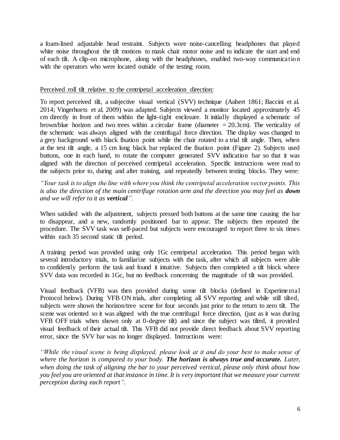a foam-lined adjustable head restraint. Subjects wore noise-cancelling headphones that played white noise throughout the tilt motions to mask chair motor noise and to indicate the start and end of each tilt. A clip-on microphone, along with the headphones, enabled two-way communication with the operators who were located outside of the testing room.

### Perceived roll tilt relative to the centripetal acceleration direction:

To report perceived tilt, a subjective visual vertical (SVV) technique (Aubert 1861; Baccini et al. 2014; Vingerhoets et al. 2009) was adapted. Subjects viewed a monitor located approximately 45 cm directly in front of them within the light-tight enclosure. It initially displayed a schematic of brown/blue horizon and two trees within a circular frame (diameter  $= 20.3$ cm). The verticality of the schematic was always aligned with the centrifugal force direction. The display was changed to a grey background with black fixation point while the chair rotated to a trial tilt angle. Then, when at the test tilt angle, a 15 cm long black bar replaced the fixation point (Figure 2). Subjects used buttons, one in each hand, to rotate the computer generated SVV indication bar so that it was aligned with the direction of perceived centripetal acceleration. Specific instructions were read to the subjects prior to, during and after training, and repeatedly between testing blocks. They were:

*"Your task is to align the line with where you think the centripetal acceleration vector points. This is also the direction of the main centrifuge rotation arm and the direction you may feel as down and we will refer to it as vertical".*

When satisfied with the adjustment, subjects pressed both buttons at the same time causing the bar to disappear, and a new, randomly positioned bar to appear. The subjects then repeated the procedure. The SVV task was self-paced but subjects were encouraged to report three to six times within each 35 second static tilt period.

A training period was provided using only 1Gc centripetal acceleration. This period began with several introductory trials, to familiarize subjects with the task, after which all subjects were able to confidently perform the task and found it intuitive. Subjects then completed a tilt block where SVV data was recorded in 1Gc, but no feedback concerning the magnitude of tilt was provided.

Visual feedback (VFB) was then provided during some tilt blocks (defined in Experimental Protocol below). During VFB ON trials, after completing all SVV reporting and while still tilted, subjects were shown the horizon/tree scene for four seconds just prior to the return to zero tilt. The scene was oriented so it was aligned with the true centrifugal force direction, (just as it was during VFB OFF trials when shown only at 0-degree tilt) and since the subject was tilted, it provided visual feedback of their actual tilt. This VFB did not provide direct feedback about SVV reporting error, since the SVV bar was no longer displayed. Instructions were:

*"While the visual scene is being displayed, please look at it and do your best to make sense of where the horizon is compared to your body. The horizon is always true and accurate. Later, when doing the task of aligning the bar to your perceived vertical, please only think about how you feel you are oriented at that instance in time. It is very important that we measure your current perception during each report".*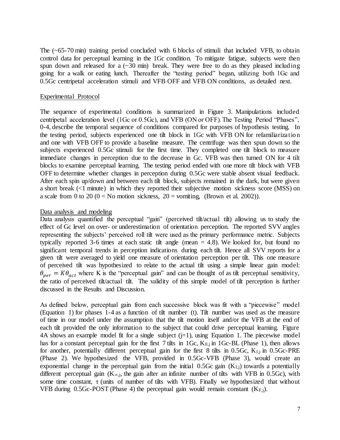The (~65-70 min) training period concluded with 6 blocks of stimuli that included VFB, to obtain control data for perceptual learning in the 1Gc condition. To mitigate fatigue, subjects were then spun down and released for a  $(\sim 30 \text{ min})$  break. They were free to do as they pleased including going for a walk or eating lunch. Thereafter the "testing period" began, utilizing both 1Gc and 0.5Gc centripetal acceleration stimuli and VFB OFF and VFB ON conditions, as detailed next.

### Experimental Protocol

The sequence of experimental conditions is summarized in Figure 3. Manipulations included centripetal acceleration level (1Gc or 0.5Gc), and VFB (ON or OFF). The Testing Period "Phases", 0-4, describe the temporal sequence of conditions compared for purposes of hypothesis testing. In the testing period, subjects experienced one tilt block in 1Gc with VFB ON for refamiliarization and one with VFB OFF to provide a baseline measure. The centrifuge was then spun down so the subjects experienced 0.5Gc stimuli for the first time. They completed one tilt block to measure immediate changes in perception due to the decrease in Gc. VFB was then turned ON for 4 tilt blocks to examine perceptual learning. The testing period ended with one more tilt block with VFB OFF to determine whether changes in perception during 0.5Gc were stable absent visual feedback. After each spin up/down and between each tilt block, subjects remained in the dark, but were given a short break (<1 minute) in which they reported their subjective motion sickness score (MSS) on a scale from 0 to 20 (0 = No motion sickness,  $20 =$  vomiting, (Brown et al. 2002)).

### Data analysis and modeling

Data analysis quantified the perceptual "gain" (perceived tilt/actual tilt) allowing us to study the effect of Gc level on over- or underestimation of orientation perception. The reported SVV angles representing the subjects' perceived roll tilt were used as the primary performance metric. Subjects typically reported 3-6 times at each static tilt angle (mean = 4.8). We looked for, but found no significant temporal trends in perception indications during each tilt. Hence all SVV reports for a given tilt were averaged to yield one measure of orientation perception per tilt. This one measure of perceived tilt was hypothesized to relate to the actual tilt using a simple linear gain model:  $\theta_{per} = K \theta_{act}$  where K is the "perceptual gain" and can be thought of as tilt perceptual sensitivity, the ratio of perceived tilt/actual tilt. The validity of this simple model of tilt perception is further discussed in the Results and Discussion.

As defined below, perceptual gain from each successive block was fit with a "piecewise" model (Equation 1) for phases 1-4 as a function of tilt number (t). Tilt number was used as the measure of time in our model under the assumption that the tilt motion itself and/or the VFB at the end of each tilt provided the only information to the subject that could drive perceptual learning. Figure 4A shows an example model fit for a single subject  $(j=1)$ , using Equation 1. The piecewise model has for a constant perceptual gain for the first 7 tilts in  $1\text{G}c$ ,  $K_{0,i}$  in  $1\text{G}c$ -BL (Phase 1), then allows for another, potentially different perceptual gain for the first 8 tilts in 0.5Gc,  $K_{I,j}$  in 0.5Gc-PRE (Phase 2). We hypothesized the VFB, provided in 0.5Gc-VFB (Phase 3), would create an exponential change in the perceptual gain from the initial  $0.5Gc$  gain  $(K<sub>L<sub>i</sub></sub>)$  towards a potentially different perceptual gain ( $K_{\infty,i}$ , the gain after an infinite number of tilts with VFB in 0.5Gc), with some time constant,  $\tau$  (units of number of tilts with VFB). Finally we hypothesized that without VFB during  $0.5$ Gc-POST (Phase 4) the perceptual gain would remain constant  $(K_{F,j})$ .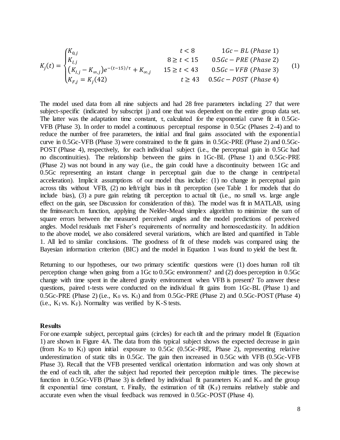$$
\begin{cases}\nK_{0,j} & t < 8 \quad 1 Gc - BL (Phase 1) \\
K_{I,j} & 8 \ge t < 15 \quad 0.5 Gc - PRE (Phase 2)\n\end{cases}
$$

$$
K_j(t) = \begin{cases} \frac{1}{t} - K_{\infty,j} e^{-(t-15)/\tau} + K_{\infty,j} & 15 \ge t < 43 & 0.5 Gc - VFB \text{ (Phase 3)} \\ K_{F,j} = K_j(42) & t \ge 43 & 0.5 Gc - POST \text{ (Phase 4)} \end{cases}
$$
 (1)

The model used data from all nine subjects and had 28 free parameters including 27 that were subject-specific (indicated by subscript j) and one that was dependent on the entire group data set. The latter was the adaptation time constant,  $\tau$ , calculated for the exponential curve fit in 0.5Gc-VFB (Phase 3). In order to model a continuous perceptual response in 0.5Gc (Phases 2-4) and to reduce the number of free parameters, the initial and final gains associated with the exponential curve in 0.5Gc-VFB (Phase 3) were constrained to the fit gains in 0.5Gc-PRE (Phase 2) and 0.5Gc-POST (Phase 4), respectively, for each individual subject (i.e., the perceptual gain in 0.5Gc had no discontinuities). The relationship between the gains in 1Gc-BL (Phase 1) and 0.5Gc-PRE (Phase 2) was not bound in any way (i.e., the gain could have a discontinuity between 1Gc and 0.5Gc representing an instant change in perceptual gain due to the change in centripetal acceleration). Implicit assumptions of our model thus include: (1) no change in perceptual gain across tilts without VFB, (2) no left/right bias in tilt perception (see Table 1 for models that do include bias), (3) a pure gain relating tilt perception to actual tilt (i.e., no small vs. large angle effect on the gain, see Discussion for consideration of this). The model was fit in MATLAB, using the fminsearch.m function, applying the Nelder-Mead simplex algorithm to minimize the sum of square errors between the measured perceived angles and the model predictions of perceived angles. Model residuals met Fisher's requirements of normality and homoscedasticity. In addition to the above model, we also considered several variations, which are listed and quantified in Table 1. All led to similar conclusions. The goodness of fit of these models was compared using the Bayesian information criterion (BIC) and the model in Equation 1 was found to yield the best fit.

Returning to our hypotheses, our two primary scientific questions were (1) does human roll tilt perception change when going from a 1Gc to 0.5Gc environment? and (2) does perception in 0.5Gc change with time spent in the altered gravity environment when VFB is present? To answer these questions, paired t-tests were conducted on the individual fit gains from 1Gc-BL (Phase 1) and  $0.5Gc$ -PRE (Phase 2) (i.e.,  $K_0$  vs.  $K_I$ ) and from  $0.5Gc$ -PRE (Phase 2) and  $0.5Gc$ -POST (Phase 4) (i.e.,  $K_I$  vs.  $K_F$ ). Normality was verified by  $K-S$  tests.

#### **Results**

For one example subject, perceptual gains (circles) for each tilt and the primary model fit (Equation 1) are shown in Figure 4A. The data from this typical subject shows the expected decrease in gain (from  $K_0$  to  $K_1$ ) upon initial exposure to  $0.5Gc$   $(0.5Gc$ -PRE, Phase 2), representing relative underestimation of static tilts in 0.5Gc. The gain then increased in 0.5Gc with VFB (0.5Gc-VFB Phase 3). Recall that the VFB presented veridical orientation information and was only shown at the end of each tilt, after the subject had reported their perception multiple times. The piecewise function in 0.5Gc-VFB (Phase 3) is defined by individual fit parameters K<sub>I</sub> and K<sub>∞</sub> and the group fit exponential time constant,  $\tau$ . Finally, the estimation of tilt  $(K_F)$  remains relatively stable and accurate even when the visual feedback was removed in 0.5Gc-POST (Phase 4).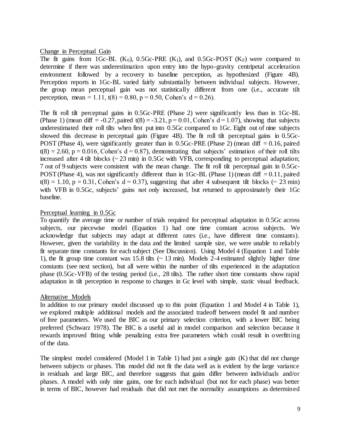### Change in Perceptual Gain

The fit gains from 1Gc-BL  $(K_0)$ , 0.5Gc-PRE  $(K_I)$ , and 0.5Gc-POST  $(K_F)$  were compared to determine if there was underestimation upon entry into the hypo-gravity centripetal acceleration environment followed by a recovery to baseline perception, as hypothesized (Figure 4B). Perception reports in 1Gc-BL varied fairly substantially between individual subjects. However, the group mean perceptual gain was not statistically different from one (i.e., accurate tilt perception, mean = 1.11,  $t(8) = 0.80$ ,  $p = 0.50$ , Cohen's  $d = 0.26$ ).

The fit roll tilt perceptual gains in 0.5Gc-PRE (Phase 2) were significantly less than in 1Gc-BL (Phase 1) (mean diff  $= -0.27$ , paired t(8)  $= -3.21$ , p  $= 0.01$ , Cohen's  $d = 1.07$ ), showing that subjects underestimated their roll tilts when first put into 0.5Gc compared to 1Gc. Eight out of nine subjects showed this decrease in perceptual gain (Figure 4B). The fit roll tilt perceptual gains in 0.5Gc-POST (Phase 4), were significantly greater than in 0.5Gc-PRE (Phase 2) (mean diff  $= 0.16$ , paired  $t(8) = 2.60$ ,  $p = 0.016$ , Cohen's  $d = 0.87$ ), demonstrating that subjects' estimation of their roll tilts increased after 4 tilt blocks  $\left(\sim 23 \text{ min}\right)$  in 0.5Gc with VFB, corresponding to perceptual adaptation; 7 out of 9 subjects were consistent with the mean change. The fit roll tilt perceptual gain in 0.5Gc-POST (Phase 4), was not significantly different than in 1Gc-BL (Phase 1) (mean diff  $= 0.11$ , paired  $t(8) = 1.10$ ,  $p = 0.31$ , Cohen's  $d = 0.37$ ), suggesting that after 4 subsequent tilt blocks (~ 23 min) with VFB in 0.5Gc, subjects' gains not only increased, but returned to approximately their 1Gc baseline.

## Perceptual learning in 0.5Gc

To quantify the average time or number of trials required for perceptual adaptation in 0.5Gc across subjects, our piecewise model (Equation 1) had one time constant across subjects. We acknowledge that subjects may adapt at different rates (i.e., have different time constants). However, given the variability in the data and the limited sample size, we were unable to reliably fit separate time constants for each subject (See Discussion). Using Model 4 (Equation 1 and Table 1), the fit group time constant was 15.8 tilts  $\sim$  13 min). Models 2-4 estimated slightly higher time constants (see next section), but all were within the number of tilts experienced in the adaptation phase (0.5Gc-VFB) of the testing period (i.e., 28 tilts). The rather short time constants show rapid adaptation in tilt perception in response to changes in Gc level with simple, static visual feedback.

## Alternative Models

In addition to our primary model discussed up to this point (Equation 1 and Model 4 in Table 1), we explored multiple additional models and the associated tradeoff between model fit and number of free parameters. We used the BIC as our primary selection criterion, with a lower BIC being preferred (Schwarz 1978). The BIC is a useful aid in model comparison and selection because it rewards improved fitting while penalizing extra free parameters which could result in overfitting of the data.

The simplest model considered (Model 1 in Table 1) had just a single gain (K) that did not change between subjects or phases. This model did not fit the data well as is evident by the large variance in residuals and large BIC, and therefore suggests that gains differ between individuals and/or phases. A model with only nine gains, one for each individual (but not for each phase) was better in terms of BIC, however had residuals that did not met the normality assumptions as determined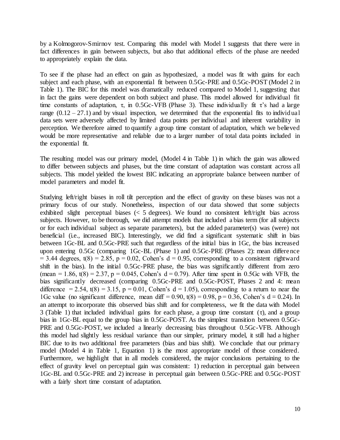by a Kolmogorov-Smirnov test. Comparing this model with Model 1 suggests that there were in fact differences in gain between subjects, but also that additional effects of the phase are needed to appropriately explain the data.

To see if the phase had an effect on gain as hypothesized, a model was fit with gains for each subject and each phase, with an exponential fit between 0.5Gc-PRE and 0.5Gc-POST (Model 2 in Table 1). The BIC for this model was dramatically reduced compared to Model 1, suggesting that in fact the gains were dependent on both subject and phase. This model allowed for individual fit time constants of adaptation,  $\tau$ , in 0.5Gc-VFB (Phase 3). These individually fit  $\tau$ 's had a large range  $(0.12 - 27.1)$  and by visual inspection, we determined that the exponential fits to individual data sets were adversely affected by limited data points per individual and inherent variability in perception. We therefore aimed to quantify a group time constant of adaptation, which we believed would be more representative and reliable due to a larger number of total data points included in the exponential fit.

The resulting model was our primary model, (Model 4 in Table 1) in which the gain was allowed to differ between subjects and phases, but the time constant of adaptation was constant across all subjects. This model yielded the lowest BIC indicating an appropriate balance between number of model parameters and model fit.

Studying left/right biases in roll tilt perception and the effect of gravity on these biases was not a primary focus of our study. Nonetheless, inspection of our data showed that some subjects exhibited slight perceptual biases  $\langle \langle 5 \rangle$  degrees). We found no consistent left/right bias across subjects. However, to be thorough, we did attempt models that included a bias term (for all subjects or for each individual subject as separate parameters), but the added parameter(s) was (were) not beneficial (i.e., increased BIC). Interestingly, we did find a significant systematic shift in bias between 1Gc-BL and 0.5Gc-PRE such that regardless of the initial bias in 1Gc, the bias increased upon entering 0.5Gc (comparing 1Gc-BL (Phase 1) and 0.5Gc-PRE (Phases 2): mean difference  $= 3.44$  degrees, t(8) = 2.85, p = 0.02, Cohen's d = 0.95, corresponding to a consistent rightward shift in the bias). In the initial 0.5Gc-PRE phase, the bias was significantly different from zero (mean = 1.86, t(8) = 2.37, p = 0.045, Cohen's  $d = 0.79$ ). After time spent in 0.5Gc with VFB, the bias significantly decreased (comparing 0.5Gc-PRE and 0.5Gc-POST, Phases 2 and 4: mean difference = 2.54,  $t(8) = 3.15$ ,  $p = 0.01$ , Cohen's  $d = 1.05$ ), corresponding to a return to near the 1Gc value (no significant difference, mean diff =  $0.90$ , t(8) =  $0.98$ , p =  $0.36$ , Cohen's d = 0.24). In an attempt to incorporate this observed bias shift and for completeness, we fit the data with Model 3 (Table 1) that included individual gains for each phase, a group time constant  $(\tau)$ , and a group bias in 1Gc-BL equal to the group bias in 0.5Gc-POST. As the simplest transition between 0.5Gc-PRE and 0.5Gc-POST, we included a linearly decreasing bias throughout 0.5Gc-VFB. Although this model had slightly less residual variance than our simpler, primary model, it still had a higher BIC due to its two additional free parameters (bias and bias shift). We conclude that our primary model (Model 4 in Table 1, Equation 1) is the most appropriate model of those considered. Furthermore, we highlight that in all models considered, the major conclusions pertaining to the effect of gravity level on perceptual gain was consistent: 1) reduction in perceptual gain between 1Gc-BL and 0.5Gc-PRE and 2) increase in perceptual gain between 0.5Gc-PRE and 0.5Gc-POST with a fairly short time constant of adaptation.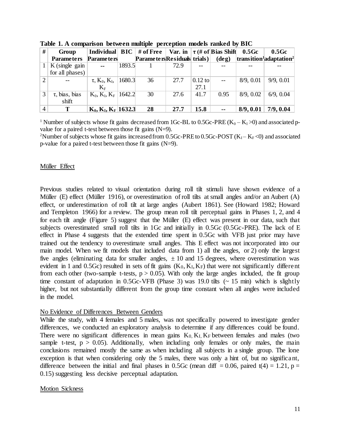| #              | Group                               |                                            |        | Individual   $BIC$   # of Free |      |           | Var. in $\tau$ (# of Bias Shift 0.5Gc |           | 0.5 <sub>GC</sub>                                             |  |
|----------------|-------------------------------------|--------------------------------------------|--------|--------------------------------|------|-----------|---------------------------------------|-----------|---------------------------------------------------------------|--|
|                | <b>Parameters</b>                   | <b>Parameters</b>                          |        | ParametersResiduals trials)    |      |           | $(\text{deg})$                        |           | $\frac{1}{2}$ transition <sup>1</sup> adaptation <sup>2</sup> |  |
|                | $K$ (single gain<br>for all phases) | $\sim$ $\sim$                              | 1893.5 |                                | 72.9 |           |                                       |           |                                                               |  |
|                |                                     |                                            |        |                                |      |           |                                       |           |                                                               |  |
| $\overline{2}$ |                                     | $\tau$ , K <sub>0</sub> , K <sub>1</sub> , | 1680.3 | 36                             | 27.7 | $0.12$ to | $\sim$ $\sim$                         | 8/9, 0.01 | 9/9, 0.01                                                     |  |
|                |                                     | $K_{\rm F}$                                |        |                                |      | 27.1      |                                       |           |                                                               |  |
| 3              | $\tau$ , bias, bias<br>shift        | $K_0, K_I, K_F$ 1642.2                     |        | 30                             | 27.6 | 41.7      | 0.95                                  | 8/9.0.02  | 6/9, 0.04                                                     |  |
| $\overline{4}$ | Т                                   | $K_0, K_I, K_F$ 1632.3                     |        | 28                             | 27.7 | 15.8      |                                       | 8/9, 0.01 | 7/9, 0.04                                                     |  |

**Table 1. A comparison between multiple perception models ranked by BIC**

<sup>1</sup> Number of subjects whose fit gains decreased from 1Gc-BL to 0.5Gc-PRE  $(K_0 - K_1 > 0)$  and associated pvalue for a paired t-test between those fit gains (N=9).

<sup>2</sup>Number of subjects whose fit gains increased from 0.5Gc-PRE to 0.5Gc-POST ( $K_I - K_F \lt 0$ ) and associated p-value for a paired t-test between those fit gains (N=9).

#### Müller Effect

Previous studies related to visual orientation during roll tilt stimuli have shown evidence of a Müller (E) effect (Müller 1916), or overestimation of roll tilts at small angles and/or an Aubert (A) effect, or underestimation of roll tilt at large angles (Aubert 1861). See (Howard 1982; Howard and Templeton 1966) for a review. The group mean roll tilt perceptual gains in Phases 1, 2, and 4 for each tilt angle (Figure 5) suggest that the Müller (E) effect was present in our data, such that subjects overestimated small roll tilts in 1Gc and initially in 0.5Gc (0.5Gc-PRE). The lack of E effect in Phase 4 suggests that the extended time spent in 0.5Gc with VFB just prior may have trained out the tendency to overestimate small angles. This E effect was not incorporated into our main model. When we fit models that included data from 1) all the angles, or 2) only the largest five angles (eliminating data for smaller angles,  $\pm 10$  and 15 degrees, where overestimation was evident in 1 and 0.5Gc) resulted in sets of fit gains  $(K_0, K_I, K_F)$  that were not significantly different from each other (two-sample t-tests,  $p > 0.05$ ). With only the large angles included, the fit group time constant of adaptation in  $0.5$ Gc-VFB (Phase 3) was 19.0 tilts ( $\sim 15$  min) which is slightly higher, but not substantially different from the group time constant when all angles were included in the model.

## No Evidence of Differences Between Genders

While the study, with 4 females and 5 males, was not specifically powered to investigate gender differences, we conducted an exploratory analysis to determine if any differences could be found. There were no significant differences in mean gains  $K_0$ ,  $K_l$ ,  $K_F$  between females and males (two sample t-test,  $p > 0.05$ ). Additionally, when including only females or only males, the main conclusions remained mostly the same as when including all subjects in a single group. The lone exception is that when considering only the 5 males, there was only a hint of, but no significant, difference between the initial and final phases in 0.5Gc (mean diff = 0.06, paired t(4) = 1.21, p = 0.15) suggesting less decisive perceptual adaptation.

#### Motion Sickness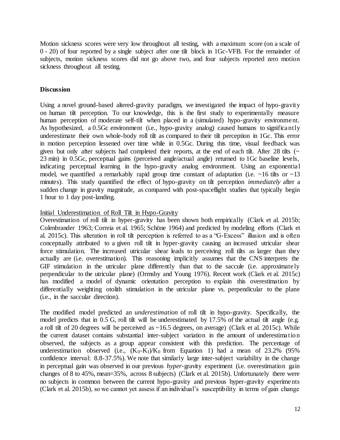Motion sickness scores were very low throughout all testing, with a maximum score (on a scale of 0 - 20) of four reported by a single subject after one tilt block in 1Gc-VFB. For the remainder of subjects, motion sickness scores did not go above two, and four subjects reported zero motion sickness throughout all testing.

## **Discussion**

Using a novel ground-based altered-gravity paradigm, we investigated the impact of hypo-gravity on human tilt perception. To our knowledge, this is the first study to experimentally measure human perception of moderate self-tilt when placed in a (simulated) hypo-gravity environment. As hypothesized, a 0.5Gc environment (i.e., hypo-gravity analog) caused humans to significantly underestimate their own whole-body roll tilt as compared to their tilt perception in 1Gc. This error in motion perception lessened over time while in 0.5Gc. During this time, visual feedback was given but only after subjects had completed their reports, at the end of each tilt. After 28 tilts  $($ 23 min) in 0.5Gc, perceptual gains (perceived angle/actual angle) returned to 1Gc baseline levels, indicating perceptual learning in the hypo-gravity analog environment. Using an exponential model, we quantified a remarkably rapid group time constant of adaptation (i.e.  $\sim 16$  tilts or  $\sim 13$ ) minutes). This study quantified the effect of hypo-gravity on tilt perception *immediately* after a sudden change in gravity magnitude, as compared with post-spaceflight studies that typically begin 1 hour to 1 day post-landing.

## Initial Underestimation of Roll Tilt in Hypo-Gravity

Overestimation of roll tilt in hyper-gravity has been shown both empirically (Clark et al. 2015b; Colenbrander 1963; Correia et al. 1965; Schöne 1964) and predicted by modeling efforts (Clark et al. 2015c). This alteration in roll tilt perception is referred to as a "G-Excess" illusion and is often conceptually attributed to a given roll tilt in hyper-gravity causing an increased utricular shear force stimulation. The increased utricular shear leads to perceiving roll tilts as larger than they actually are (i.e. overestimation). This reasoning implicitly assumes that the CNS interprets the GIF stimulation in the utricular plane differently than that to the saccule (i.e. approximately perpendicular to the utricular plane) (Ormsby and Young 1976). Recent work (Clark et al. 2015c) has modified a model of dynamic orientation perception to explain this overestimation by differentially weighting otolith stimulation in the utricular plane vs. perpendicular to the plane (i.e., in the saccular direction).

The modified model predicted an *underestimation* of roll tilt in hypo-gravity. Specifically, the model predicts that in 0.5 G, roll tilt will be underestimated by 17.5% of the actual tilt angle (e.g. a roll tilt of 20 degrees will be perceived as ~16.5 degrees, on average) (Clark et al. 2015c). While the current dataset contains substantial inter-subject variation in the amount of underestimation observed, the subjects as a group appear consistent with this prediction. The percentage of underestimation observed (i.e.,  $(K_0-K_1)/K_0$  from Equation 1) had a mean of 23.2% (95%) confidence interval: 8.8-37.5%). We note that similarly large inter-subject variability in the change in perceptual gain was observed in our previous *hyper*-gravity experiment (i.e. overestimation gain changes of 8 to 45%, mean=35%, across 8 subjects) (Clark et al. 2015b). Unfortunately there were no subjects in common between the current hypo-gravity and previous hyper-gravity experiments (Clark et al. 2015b), so we cannot yet assess if an individual's susceptibility in terms of gain change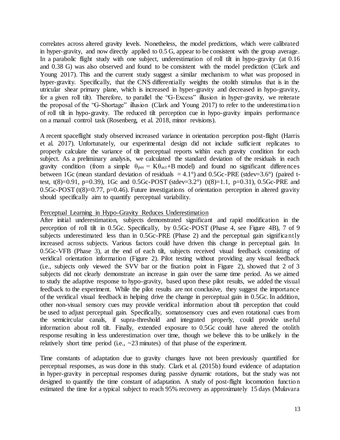correlates across altered gravity levels. Nonetheless, the model predictions, which were calibrated in hyper-gravity, and now directly applied to 0.5 G, appear to be consistent with the group average. In a parabolic flight study with one subject, underestimation of roll tilt in hypo-gravity (at 0.16 and 0.38 G) was also observed and found to be consistent with the model prediction (Clark and Young 2017). This and the current study suggest a similar mechanism to what was proposed in hyper-gravity. Specifically, that the CNS differentially weights the otolith stimulus that is in the utricular shear primary plane, which is increased in hyper-gravity and decreased in hypo-gravity, for a given roll tilt). Therefore, to parallel the "G-Excess" illusion in hyper-gravity, we reiterate the proposal of the "G-Shortage" illusion (Clark and Young 2017) to refer to the underestimation of roll tilt in hypo-gravity. The reduced tilt perception cue in hypo-gravity impairs performance on a manual control task (Rosenberg, et al. 2018, minor revisions).

A recent spaceflight study observed increased variance in orientation perception post-flight (Harris et al. 2017). Unfortunately, our experimental design did not include sufficient replicates to properly calculate the variance of tilt perceptual reports within each gravity condition for each subject. As a preliminary analysis, we calculated the standard deviation of the residuals in each gravity condition (from a simple  $\theta_{per} = K\theta_{act} + B$  model) and found no significant differences between 1Gc (mean standard deviation of residuals  $= 4.1^{\circ}$ ) and 0.5Gc-PRE (stdev=3.6°) (paired ttest, t(8)=0.91, p=0.39), 1Gc and 0.5Gc-POST (stdev=3.2°) (t(8)=1.1, p=0.31), 0.5Gc-PRE and 0.5Gc-POST ( $t(8)=0.77$ ,  $p=0.46$ ). Future investigations of orientation perception in altered gravity should specifically aim to quantify perceptual variability.

## Perceptual Learning in Hypo-Gravity Reduces Underestimation

After initial underestimation, subjects demonstrated significant and rapid modification in the perception of roll tilt in 0.5Gc. Specifically, by 0.5Gc-POST (Phase 4, see Figure 4B), 7 of 9 subjects underestimated less than in 0.5Gc-PRE (Phase 2) and the perceptual gain significantly increased across subjects. Various factors could have driven this change in perceptual gain. In 0.5Gc-VFB (Phase 3), at the end of each tilt, subjects received visual feedback consisting of veridical orientation information (Figure 2). Pilot testing without providing any visual feedback (i.e., subjects only viewed the SVV bar or the fixation point in Figure 2), showed that 2 of 3 subjects did not clearly demonstrate an increase in gain over the same time period. As we aimed to study the adaptive response to hypo-gravity, based upon these pilot results, we added the visual feedback to the experiment. While the pilot results are not conclusive, they suggest the importance of the veridical visual feedback in helping drive the change in perceptual gain in 0.5Gc. In addition, other non-visual sensory cues may provide veridical information about tilt perception that could be used to adjust perceptual gain. Specifically, somatosensory cues and even rotational cues from the semicircular canals, if supra-threshold and integrated properly, could provide useful information about roll tilt. Finally, extended exposure to 0.5Gc could have altered the otolith response resulting in less underestimation over time, though we believe this to be unlikely in the relatively short time period (i.e.,  $\sim$  23 minutes) of that phase of the experiment.

Time constants of adaptation due to gravity changes have not been previously quantified for perceptual responses, as was done in this study. Clark et al. (2015b) found evidence of adaptation in hyper-gravity in perceptual responses during passive dynamic rotations, but the study was not designed to quantify the time constant of adaptation. A study of post-flight locomotion function estimated the time for a typical subject to reach 95% recovery as approximately 15 days (Mulavara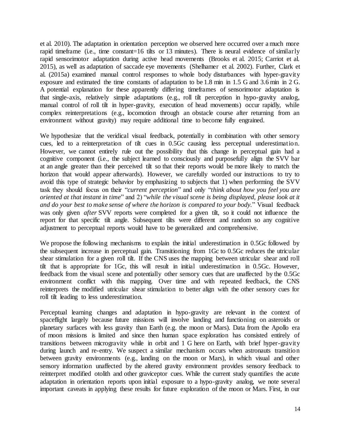et al. 2010). The adaptation in orientation perception we observed here occurred over a much more rapid timeframe (i.e., time constant=16 tilts or 13 minutes). There is neural evidence of similarly rapid sensorimotor adaptation during active head movements (Brooks et al. 2015; Carriot et al. 2015), as well as adaptation of saccade eye movements (Shelhamer et al. 2002). Further, Clark et al. (2015a) examined manual control responses to whole body disturbances with hyper-gravity exposure and estimated the time constants of adaptation to be 1.8 min in 1.5 G and 3.6 min in 2 G. A potential explanation for these apparently differing timeframes of sensorimotor adaptation is that single-axis, relatively simple adaptations (e.g., roll tilt perception in hypo-gravity analog, manual control of roll tilt in hyper-gravity, execution of head movements) occur rapidly, while complex reinterpretations (e.g., locomotion through an obstacle course after returning from an environment without gravity) may require additional time to become fully engrained.

We hypothesize that the veridical visual feedback, potentially in combination with other sensory cues, led to a reinterpretation of tilt cues in 0.5Gc causing less perceptual underestimation. However, we cannot entirely rule out the possibility that this change in perceptual gain had a cognitive component (i.e., the subject learned to consciously and purposefully align the SVV bar at an angle greater than their perceived tilt so that their reports would be more likely to match the horizon that would appear afterwards). However, we carefully worded our instructions to try to avoid this type of strategic behavior by emphasizing to subjects that 1) when performing the SVV task they should focus on their "*current perception*" and only "*think about how you feel you are oriented at that instant in time*" and 2) "*while the visual scene is being displayed, please look at it and do your best to make sense of where the horizon is compared to your body.*" Visual feedback was only given *after* SVV reports were completed for a given tilt, so it could not influence the report for that specific tilt angle. Subsequent tilts were different and random so any cognitive adjustment to perceptual reports would have to be generalized and comprehensive.

We propose the following mechanisms to explain the initial underestimation in 0.5Gc followed by the subsequent increase in perceptual gain. Transitioning from 1Gc to 0.5Gc reduces the utricular shear stimulation for a given roll tilt. If the CNS uses the mapping between utricular shear and roll tilt that is appropriate for 1Gc, this will result in initial underestimation in 0.5Gc. However, feedback from the visual scene and potentially other sensory cues that are unaffected by the 0.5Gc environment conflict with this mapping. Over time and with repeated feedback, the CNS reinterprets the modified utricular shear stimulation to better align with the other sensory cues for roll tilt leading to less underestimation.

Perceptual learning changes and adaptation in hypo-gravity are relevant in the context of spaceflight largely because future missions will involve landing and functioning on asteroids or planetary surfaces with less gravity than Earth (e.g. the moon or Mars). Data from the Apollo era of moon missions is limited and since then human space exploration has consisted entirely of transitions between microgravity while in orbit and 1 G here on Earth, with brief hyper-gravity during launch and re-entry. We suspect a similar mechanism occurs when astronauts transition between gravity environments (e.g., landing on the moon or Mars), in which visual and other sensory information unaffected by the altered gravity environment provides sensory feedback to reinterpret modified otolith and other graviceptor cues. While the current study quantifies the acute adaptation in orientation reports upon initial exposure to a hypo-gravity analog, we note several important caveats in applying these results for future exploration of the moon or Mars. First, in our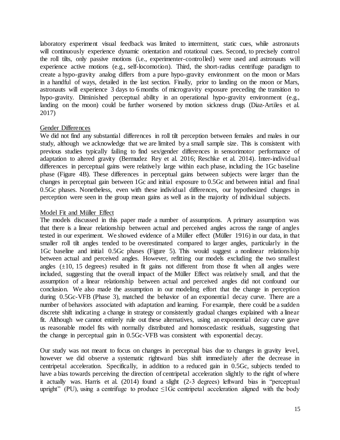laboratory experiment visual feedback was limited to intermittent, static cues, while astronauts will continuously experience dynamic orientation and rotational cues. Second, to precisely control the roll tilts, only passive motions (i.e., experimenter-controlled) were used and astronauts will experience active motions (e.g., self-locomotion). Third, the short-radius centrifuge paradigm to create a hypo-gravity analog differs from a pure hypo-gravity environment on the moon or Mars in a handful of ways, detailed in the last section. Finally, prior to landing on the moon or Mars, astronauts will experience 3 days to 6 months of microgravity exposure preceding the transition to hypo-gravity. Diminished perceptual ability in an operational hypo-gravity environment (e.g., landing on the moon) could be further worsened by motion sickness drugs (Diaz-Artiles et al. 2017)

## Gender Differences

We did not find any substantial differences in roll tilt perception between females and males in our study, although we acknowledge that we are limited by a small sample size. This is consistent with previous studies typically failing to find sex/gender differences in sensorimotor performance of adaptation to altered gravity (Bermudez Rey et al. 2016; Reschke et al. 2014). Inter-individual differences in perceptual gains were relatively large within each phase, including the 1Gc baseline phase (Figure 4B). These differences in perceptual gains between subjects were larger than the changes in perceptual gain between 1Gc and initial exposure to 0.5Gc and between initial and final 0.5Gc phases. Nonetheless, even with these individual differences, our hypothesized changes in perception were seen in the group mean gains as well as in the majority of individual subjects.

# Model Fit and Müller Effect

The models discussed in this paper made a number of assumptions. A primary assumption was that there is a linear relationship between actual and perceived angles across the range of angles tested in our experiment. We showed evidence of a Müller effect (Müller 1916) in our data, in that smaller roll tilt angles tended to be overestimated compared to larger angles, particularly in the 1Gc baseline and initial 0.5Gc phases (Figure 5). This would suggest a nonlinear relationship between actual and perceived angles. However, refitting our models excluding the two smallest angles  $(\pm 10, 15$  degrees) resulted in fit gains not different from those fit when all angles were included, suggesting that the overall impact of the Müller Effect was relatively small, and that the assumption of a linear relationship between actual and perceived angles did not confound our conclusion. We also made the assumption in our modeling effort that the change in perception during 0.5Gc-VFB (Phase 3), matched the behavior of an exponential decay curve. There are a number of behaviors associated with adaptation and learning. For example, there could be a sudden discrete shift indicating a change in strategy or consistently gradual changes explained with a linear fit. Although we cannot entirely rule out these alternatives, using an exponential decay curve gave us reasonable model fits with normally distributed and homoscedastic residuals, suggesting that the change in perceptual gain in 0.5Gc-VFB was consistent with exponential decay.

Our study was not meant to focus on changes in perceptual bias due to changes in gravity level, however we did observe a systematic rightward bias shift immediately after the decrease in centripetal acceleration. Specifically, in addition to a reduced gain in 0.5Gc, subjects tended to have a bias towards perceiving the direction of centripetal acceleration slightly to the right of where it actually was. Harris et al. (2014) found a slight (2-3 degrees) leftward bias in "perceptual upright" (PU), using a centrifuge to produce  $\leq 1$  Gc centripetal acceleration aligned with the body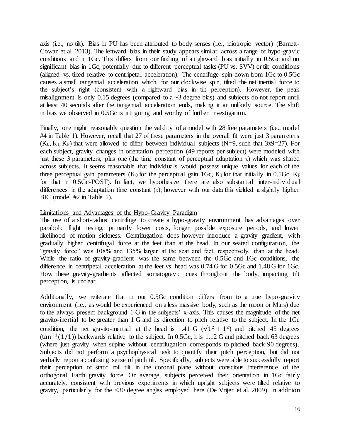axis (i.e., no tilt). Bias in PU has been attributed to body senses (i.e., idiotropic vector) (Barnett-Cowan et al. 2013). The leftward bias in their study appears similar across a range of hypo-gravic conditions and in 1Gc. This differs from our finding of a rightward bias initially in 0.5Gc and no significant bias in 1Gc, potentially due to different perceptual tasks (PU vs. SVV) or tilt conditions (aligned vs. tilted relative to centripetal acceleration). The centrifuge spin down from 1Gc to 0.5Gc causes a small tangential acceleration which, for our clockwise spin, tilted the net inertial force to the subject's right (consistent with a rightward bias in tilt perception). However, the peak misalignment is only 0.15 degrees (compared to a  $\sim$ 3 degree bias) and subjects do not report until at least 40 seconds after the tangential acceleration ends, making it an unlikely source. The shift in bias we observed in 0.5Gc is intriguing and worthy of further investigation.

Finally, one might reasonably question the validity of a model with 28 free parameters (i.e., model #4 in Table 1). However, recall that 27 of these parameters in the overall fit were just 3 parameters  $(K_0, K_I, K_F)$  that were allowed to differ between individual subjects (N=9, such that 3x9=27). For each subject, gravity changes in orientation perception (49 reports per subject) were modeled with just these 3 parameters, plus one (the time constant of perceptual adaptation  $\tau$ ) which was shared across subjects. It seems reasonable that individuals would possess unique values for each of the three perceptual gain parameters ( $K_0$  for the perceptual gain 1Gc,  $K_I$  for that initially in 0.5Gc,  $K_F$ for that in 0.5Gc-POST). In fact, we hypothesize there are also substantial inter-individual differences in the adaptation time constant  $(\tau)$ ; however with our data this yielded a slightly higher BIC (model #2 in Table 1).

## Limitations and Advantages of the Hypo-Gravity Paradigm

The use of a short-radius centrifuge to create a hypo-gravity environment has advantages over parabolic flight testing, primarily lower costs, longer possible exposure periods, and lower likelihood of motion sickness. Centrifugation does however introduce a gravity gradient, with gradually higher centrifugal force at the feet than at the head. In our seated configuration, the "gravity force" was 108% and 135% larger at the seat and feet, respectively, than at the head. While the ratio of gravity-gradient was the same between the 0.5Gc and 1Gc conditions, the difference in centripetal acceleration at the feet vs. head was 0.74 G for 0.5Gc and 1.48 G for 1Gc. How these gravity-gradients affected somatogravic cues throughout the body, impacting tilt perception, is unclear.

Additionally, we reiterate that in our 0.5Gc condition differs from to a true hypo-gravity environment (i.e., as would be experienced on a less massive body, such as the moon or Mars) due to the always present background 1 G in the subjects' x-axis. This causes the magnitude of the net gravito-inertial to be greater than 1 G and its direction to pitch relative to the subject. In the 1Gc condition, the net gravito-inertial at the head is 1.41 G ( $\sqrt{1^2 + 1^2}$ ) and pitched 45 degrees  $(\tan^{-1}(1/1))$  backwards relative to the subject. In 0.5Gc, it is 1.12 G and pitched back 63 degrees (where just gravity when supine without centrifugation corresponds to pitched back 90 degrees). Subjects did not perform a psychophysical task to quantify their pitch perception, but did not verbally report a confusing sense of pitch tilt. Specifically, subjects were able to successfully report their perception of static roll tilt in the coronal plane without conscious interference of the orthogonal Earth gravity force. On average, subjects perceived their orientation in 1Gc fairly accurately, consistent with previous experiments in which upright subjects were tilted relative to gravity, particularly for the <30 degree angles employed here (De Vrijer et al. 2009). In addition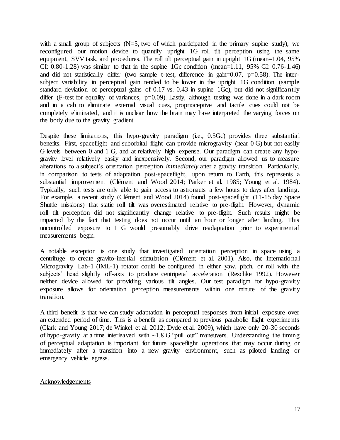with a small group of subjects  $(N=5, two of which participated in the primary supine study)$ , we reconfigured our motion device to quantify upright 1G roll tilt perception using the same equipment, SVV task, and procedures. The roll tilt perceptual gain in upright 1G (mean=1.04, 95% CI:  $0.80-1.28$ ) was similar to that in the supine 1Gc condition (mean=1.11,  $95\%$  CI:  $0.76-1.46$ ) and did not statistically differ (two sample t-test, difference in gain= $0.07$ , p= $0.58$ ). The intersubject variability in perceptual gain tended to be lower in the upright 1G condition (sample standard deviation of perceptual gains of 0.17 vs. 0.43 in supine 1Gc), but did not significantly differ (F-test for equality of variances, p=0.09). Lastly, although testing was done in a dark room and in a cab to eliminate external visual cues, proprioceptive and tactile cues could not be completely eliminated, and it is unclear how the brain may have interpreted the varying forces on the body due to the gravity gradient.

Despite these limitations, this hypo-gravity paradigm (i.e., 0.5Gc) provides three substantial benefits. First, spaceflight and suborbital flight can provide microgravity (near 0 G) but not easily G levels between 0 and 1 G, and at relatively high expense. Our paradigm can create any hypogravity level relatively easily and inexpensively. Second, our paradigm allowed us to measure alterations to a subject's orientation perception *immediately* after a gravity transition. Particularly, in comparison to tests of adaptation post-spaceflight, upon return to Earth, this represents a substantial improvement (Clément and Wood 2014; Parker et al. 1985; Young et al. 1984). Typically, such tests are only able to gain access to astronauts a few hours to days after landing. For example, a recent study (Clément and Wood 2014) found post-spaceflight (11-15 day Space Shuttle missions) that static roll tilt was overestimated relative to pre-flight. However, dynamic roll tilt perception did not significantly change relative to pre-flight. Such results might be impacted by the fact that testing does not occur until an hour or longer after landing. This uncontrolled exposure to 1 G would presumably drive readaptation prior to experimental measurements begin.

A notable exception is one study that investigated orientation perception in space using a centrifuge to create gravito-inertial stimulation (Clément et al. 2001). Also, the International Microgravity Lab-1 (IML-1) rotator could be configured in either yaw, pitch, or roll with the subjects' head slightly off-axis to produce centripetal acceleration (Reschke 1992). However neither device allowed for providing various tilt angles. Our test paradigm for hypo-gravity exposure allows for orientation perception measurements within one minute of the gravity transition.

A third benefit is that we can study adaptation in perceptual responses from initial exposure over an extended period of time. This is a benefit as compared to previous parabolic flight experiments (Clark and Young 2017; de Winkel et al. 2012; Dyde et al. 2009), which have only 20-30 seconds of hypo-gravity at a time interleaved with  $\sim$ 1.8 G "pull out" maneuvers. Understanding the timing of perceptual adaptation is important for future spaceflight operations that may occur during or immediately after a transition into a new gravity environment, such as piloted landing or emergency vehicle egress.

## Acknowledgements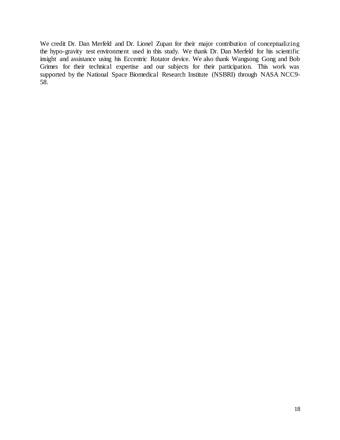We credit Dr. Dan Merfeld and Dr. Lionel Zupan for their major contribution of conceptualizing the hypo-gravity test environment used in this study. We thank Dr. Dan Merfeld for his scientific insight and assistance using his Eccentric Rotator device. We also thank Wangsong Gong and Bob Grimes for their technical expertise and our subjects for their participation. This work was supported by the National Space Biomedical Research Institute (NSBRI) through NASA NCC9- 58.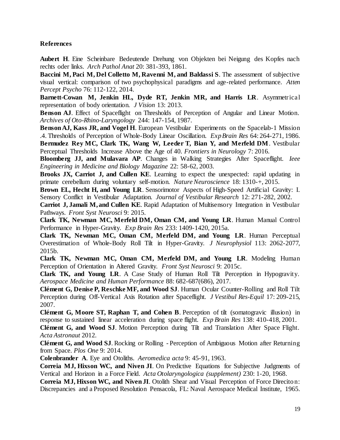## **References**

**Aubert H**. Eine Scheinbare Bedeutende Drehung von Objekten bei Neigung des Kopfes nach rechts oder links. *Arch Pathol Anat* 20: 381-393, 1861.

**Baccini M, Paci M, Del Colletto M, Ravenni M, and Baldassi S**. The assessment of subjective visual vertical: comparison of two psychophysical paradigms and age-related performance. *Atten Percept Psycho* 76: 112-122, 2014.

**Barnett-Cowan M, Jenkin HL, Dyde RT, Jenkin MR, and Harris LR**. Asymmetrical representation of body orientation. *J Vision* 13: 2013.

**Benson AJ**. Effect of Spaceflight on Thresholds of Perception of Angular and Linear Motion. *Archives of Oto-Rhino-Laryngology* 244: 147-154, 1987.

**Benson AJ, Kass JR, and Vogel H**. European Vestibular Experiments on the Spacelab-1 Mission .4. Thresholds of Perception of Whole-Body Linear Oscillation. *Exp Brain Res* 64: 264-271, 1986. **Bermudez Rey MC, Clark TK, Wang W, Leeder T, Bian Y, and Merfeld DM**. Vestibular

Perceptual Thresholds Increase Above the Age of 40. *Frontiers in Neurology* 7: 2016.

**Bloomberg JJ, and Mulavara AP**. Changes in Walking Strategies After Spaceflight. *Ieee Engineering in Medicine and Biology Magazine* 22: 58-62, 2003.

**Brooks JX, Carriot J, and Cullen KE**. Learning to expect the unexpected: rapid updating in primate cerebellum during voluntary self-motion. *Nature Neuroscience* 18: 1310-+, 2015.

**Brown EL, Hecht H, and Young LR**. Sensorimotor Aspects of High-Speed Artificial Gravity: I. Sensory Conflict in Vestibular Adaptation. *Journal of Vestibular Research* 12: 271-282, 2002.

**Carriot J, Jamali M, and Cullen KE**. Rapid Adaptation of Multisensory Integration in Vestibular Pathways. *Front Syst Neurosci* 9: 2015.

**Clark TK, Newman MC, Merfeld DM, Oman CM, and Young LR**. Human Manual Control Performance in Hyper-Gravity. *Exp Brain Res* 233: 1409-1420, 2015a.

**Clark TK, Newman MC, Oman CM, Merfeld DM, and Young LR**. Human Perceptual Overestimation of Whole-Body Roll Tilt in Hyper-Gravity. *J Neurophysiol* 113: 2062-2077, 2015b.

**Clark TK, Newman MC, Oman CM, Merfeld DM, and Young LR**. Modeling Human Perception of Orientation in Altered Gravity. *Front Syst Neurosci* 9: 2015c.

**Clark TK, and Young LR**. A Case Study of Human Roll Tilt Perception in Hypogravity. *Aerospace Medicine and Human Performance* 88: 682-687(686), 2017.

**Clément G, Denise P, Reschke MF, and Wood SJ**. Human Ocular Counter-Rolling and Roll Tilt Perception during Off-Vertical Axis Rotation after Spaceflight. *J Vestibul Res-Equil* 17: 209-215, 2007.

**Clément G, Moore ST, Raphan T, and Cohen B**. Perception of tilt (somatogravic illusion) in response to sustained linear acceleration during space flight. *Exp Brain Res* 138: 410-418, 2001.

**Clément G, and Wood SJ**. Motion Perception during Tilt and Translation After Space Flight. *Acta Astronaut* 2012.

**Clément G, and Wood SJ**. Rocking or Rolling - Perception of Ambiguous Motion after Returning from Space. *Plos One* 9: 2014.

**Colenbrander A**. Eye and Otoliths. *Aeromedica acta* 9: 45-91, 1963.

**Correia MJ, Hixson WC, and Niven JI**. On Predictive Equations for Subjective Judgments of Vertical and Horizon in a Force Field. *Acta Otolaryngologica (supplement)* 230: 1-20, 1968.

**Correia MJ, Hixson WC, and Niven JI**. Otolith Shear and Visual Perception of Force Direciton: Discrepancies and a Proposed Resolution Pensacola, FL: Naval Aerospace Medical Institute, 1965.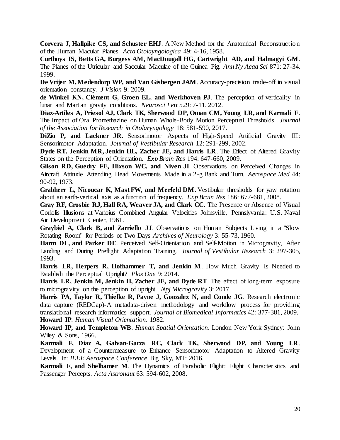**Corvera J, Hallpike CS, and Schuster EHJ**. A New Method for the Anatomical Reconstruction of the Human Macular Planes. *Acta Otolayngologica* 49: 4-16, 1958.

**Curthoys IS, Betts GA, Burgess AM, MacDougall HG, Cartwright AD, and Halmagyi GM**. The Planes of the Utricular and Saccular Maculae of the Guinea Pig. *Ann Ny Acad Sci* 871: 27-34, 1999.

**De Vrijer M, Medendorp WP, and Van Gisbergen JAM**. Accuracy-precision trade-off in visual orientation constancy. *J Vision* 9: 2009.

**de Winkel KN, Clément G, Groen EL, and Werkhoven PJ**. The perception of verticality in lunar and Martian gravity conditions. *Neurosci Lett* 529: 7-11, 2012.

**Diaz-Artiles A, Priesol AJ, Clark TK, Sherwood DP, Oman CM, Young LR, and Karmali F**. The Impact of Oral Promethazine on Human Whole-Body Motion Perceptual Thresholds. *Journal of the Association for Research in Otolaryngology* 18: 581-590, 2017.

**DiZio P, and Lackner JR**. Sensorimotor Aspects of High-Speed Artificial Gravity III: Sensorimotor Adaptation. *Journal of Vestibular Research* 12: 291-299, 2002.

**Dyde RT, Jenkin MR, Jenkin HL, Zacher JE, and Harris LR**. The Effect of Altered Gravity States on the Perception of Orientation. *Exp Brain Res* 194: 647-660, 2009.

**Gilson RD, Guedry FE, Hixson WC, and Niven JI**. Observations on Perceived Changes in Aircraft Attitude Attending Head Movements Made in a 2-g Bank and Turn. *Aerospace Med* 44: 90-92, 1973.

**Grabherr L, Nicoucar K, Mast FW, and Merfeld DM**. Vestibular thresholds for yaw rotation about an earth-vertical axis as a function of frequency. *Exp Brain Res* 186: 677-681, 2008.

**Gray RF, Crosbie RJ, Hall RA, Weaver JA, and Clark CC**. The Presence or Absence of Visual Coriolis Illusions at Varioius Combined Angular Velocities Johnsville, Pennslyvania: U.S. Naval Air Development Center, 1961.

**Graybiel A, Clark B, and Zarriello JJ**. Observations on Human Subjects Living in a "Slow Rotating Room" for Periods of Two Days *Archives of Neurology* 3: 55-73, 1960.

**Harm DL, and Parker DE**. Perceived Self-Orientation and Self-Motion in Microgravity, After Landing and During Preflight Adaptation Training. *Journal of Vestibular Research* 3: 297-305, 1993.

**Harris LR, Herpers R, Hofhammer T, and Jenkin M**. How Much Gravity Is Needed to Establish the Perceptual Upright? *Plos One* 9: 2014.

Harris LR, Jenkin M, Jenkin H, Zacher JE, and Dyde RT. The effect of long-term exposure to microgravity on the perception of upright. *Npj Microgravity* 3: 2017.

**Harris PA, Taylor R, Thielke R, Payne J, Gonzalez N, and Conde JG**. Research electronic data capture (REDCap)-A metadata-driven methodology and workflow process for providing translational research informatics support. *Journal of Biomedical Informatics* 42: 377-381, 2009. **Howard IP**. *Human Visual Orientation*. 1982.

**Howard IP, and Templeton WB**. *Human Spatial Orientation*. London New York Sydney: John Wiley & Sons, 1966.

**Karmali F, Diaz A, Galvan-Garza RC, Clark TK, Sherwood DP, and Young LR**. Development of a Countermeasure to Enhance Sensorimotor Adaptation to Altered Gravity Levels. In: *IEEE Aerospace Conference*. Big Sky, MT: 2016.

**Karmali F, and Shelhamer M.** The Dynamics of Parabolic Flight: Flight Characteristics and Passenger Percepts. *Acta Astronaut* 63: 594-602, 2008.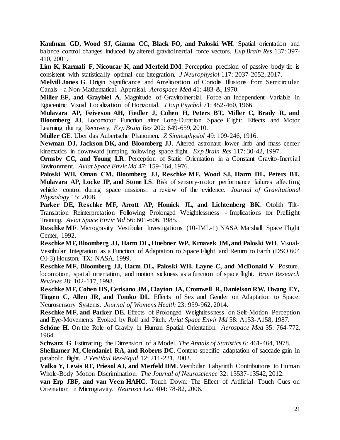**Kaufman GD, Wood SJ, Gianna CC, Black FO, and Paloski WH**. Spatial orientation and balance control changes induced by altered gravitoinertial force vectors. *Exp Brain Res* 137: 397- 410, 2001.

Lim K, Karmali F, Nicoucar K, and Merfeld DM. Perception precision of passive body tilt is consistent with statistically optimal cue integration. *J Neurophysiol* 117: 2037-2052, 2017.

**Melvill Jones G**. Origin Significance and Amelioration of Coriolis Illusions from Semicircular Canals - a Non-Mathematical Appraisal. *Aerospace Med* 41: 483-&, 1970.

**Miller EF, and Graybiel A**. Magnitude of Gravitoinertial Force an Independent Variable in Egocentric Visual Localization of Horizontal. *J Exp Psychol* 71: 452-460, 1966.

**Mulavara AP, Feiveson AH, Fiedler J, Cohen H, Peters BT, Miller C, Brady R, and Bloomberg JJ.** Locomotor Function after Long-Duration Space Flight: Effects and Motor Learning during Recovery. *Exp Brain Res* 202: 649-659, 2010.

**Müller GE**. Uber das Aubertsche Phanomen. *Z Sinnesphysiol* 49: 109-246, 1916.

**Newman DJ, Jackson DK, and Bloomberg JJ**. Altered astronaut lower limb and mass center kinematics in downward jumping following space flight. *Exp Brain Res* 117: 30-42, 1997.

**Ormsby CC, and Young LR**. Perception of Static Orientation in a Constant Gravito-Inertial Environment. *Aviat Space Envir Md* 47: 159-164, 1976.

**Paloski WH, Oman CM, Bloomberg JJ, Reschke MF, Wood SJ, Harm DL, Peters BT, Mulavara AP, Locke JP, and Stone LS**. Risk of sensory-motor performance failures affecting vehicle control during space missions: a review of the evidence. *Journal of Gravitational Physiology* 15: 2008.

**Parker DE, Reschke MF, Arrott AP, Homick JL, and Lichtenberg BK**. Otolith Tilt-Translation Reinterpretation Following Prolonged Weightlessness - Implications for Preflight Training. *Aviat Space Envir Md* 56: 601-606, 1985.

**Reschke MF**. Microgravity Vestibular Investigations (10-IML-1) NASA Marshall Space Flight Center, 1992.

**Reschke MF, Bloomberg JJ, Harm DL, Huebner WP, Krnavek JM, and Paloski WH**. Visual-Vestibular Integration as a Function of Adaptation to Space Flight and Return to Earth (DSO 604 OI-3) Houston, TX: NASA, 1999.

**Reschke MF, Bloomberg JJ, Harm DL, Paloski WH, Layne C, and McDonald V**. Posture, locomotion, spatial orientation, and motion sickness as a function of space flight. *Brain Research Reviews* 28: 102-117, 1998.

**Reschke MF, Cohen HS, Cerisano JM, Clayton JA, Cromwell R, Danielson RW, Hwang EY, Tingen C, Allen JR, and Tomko DL**. Effects of Sex and Gender on Adaptation to Space: Neurosensory Systems. *Journal of Womens Health* 23: 959-962, 2014.

**Reschke MF, and Parker DE**. Effects of Prolonged Weightlessness on Self-Motion Perception and Eye-Movements Evoked by Roll and Pitch. *Aviat Space Envir Md* 58: A153-A158, 1987.

**Schöne H**. On the Role of Gravity in Human Spatial Orientation. *Aerospace Med* 35: 764-772, 1964.

**Schwarz G**. Estimating the Dimension of a Model. *The Annals of Statistics* 6: 461-464, 1978.

**Shelhamer M, Clendaniel RA, and Roberts DC**. Context-specific adaptation of saccade gain in parabolic flight. *J Vestibul Res-Equil* 12: 211-221, 2002.

**Valko Y, Lewis RF, Priesol AJ, and Merfeld DM**. Vestibular Labyrinth Contributions to Human Whole-Body Motion Discrimination. *The Journal of Neuroscience* 32: 13537-13542, 2012.

**van Erp JBF, and van Veen HAHC**. Touch Down: The Effect of Artificial Touch Cues on Orientation in Microgravity. *Neurosci Lett* 404: 78-82, 2006.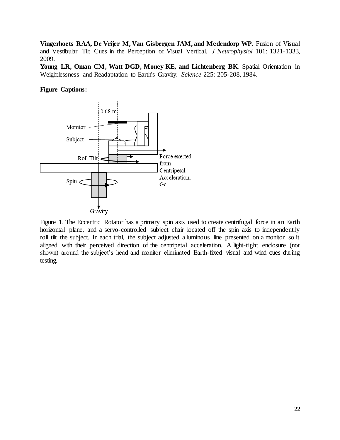**Vingerhoets RAA, De Vrijer M, Van Gisbergen JAM, and Medendorp WP**. Fusion of Visual and Vestibular Tilt Cues in the Perception of Visual Vertical. *J Neurophysiol* 101: 1321-1333, 2009.

**Young LR, Oman CM, Watt DGD, Money KE, and Lichtenberg BK**. Spatial Orientation in Weightlessness and Readaptation to Earth's Gravity. *Science* 225: 205-208, 1984.

## **Figure Captions:**



Figure 1. The Eccentric Rotator has a primary spin axis used to create centrifugal force in an Earth horizontal plane, and a servo-controlled subject chair located off the spin axis to independently roll tilt the subject. In each trial, the subject adjusted a luminous line presented on a monitor so it aligned with their perceived direction of the centripetal acceleration. A light-tight enclosure (not shown) around the subject's head and monitor eliminated Earth-fixed visual and wind cues during testing.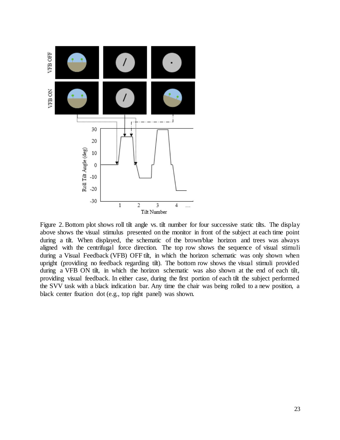

Figure 2. Bottom plot shows roll tilt angle vs. tilt number for four successive static tilts. The display above shows the visual stimulus presented on the monitor in front of the subject at each time point during a tilt. When displayed, the schematic of the brown/blue horizon and trees was always aligned with the centrifugal force direction. The top row shows the sequence of visual stimuli during a Visual Feedback (VFB) OFF tilt, in which the horizon schematic was only shown when upright (providing no feedback regarding tilt). The bottom row shows the visual stimuli provided during a VFB ON tilt, in which the horizon schematic was also shown at the end of each tilt, providing visual feedback. In either case, during the first portion of each tilt the subject performed the SVV task with a black indication bar. Any time the chair was being rolled to a new position, a black center fixation dot (e.g., top right panel) was shown.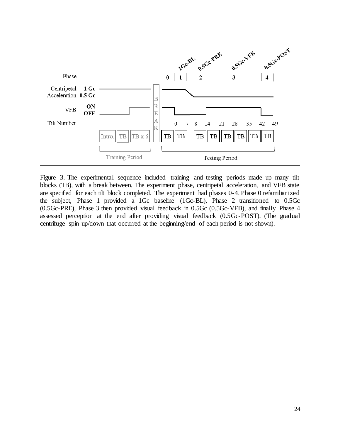

Figure 3. The experimental sequence included training and testing periods made up many tilt blocks (TB), with a break between. The experiment phase, centripetal acceleration, and VFB state are specified for each tilt block completed. The experiment had phases 0-4. Phase 0 refamiliarized the subject, Phase 1 provided a 1Gc baseline (1Gc-BL), Phase 2 transitioned to 0.5Gc (0.5Gc-PRE), Phase 3 then provided visual feedback in 0.5Gc (0.5Gc-VFB), and finally Phase 4 assessed perception at the end after providing visual feedback (0.5Gc-POST). (The gradual centrifuge spin up/down that occurred at the beginning/end of each period is not shown).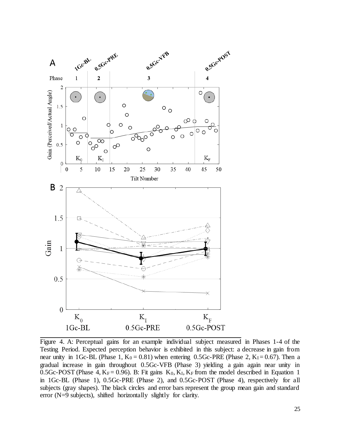

Figure 4. A: Perceptual gains for an example individual subject measured in Phases 1-4 of the Testing Period. Expected perception behavior is exhibited in this subject: a decrease in gain from near unity in 1Gc-BL (Phase 1,  $K_0 = 0.81$ ) when entering 0.5Gc-PRE (Phase 2,  $K_I = 0.67$ ). Then a gradual increase in gain throughout 0.5Gc-VFB (Phase 3) yielding a gain again near unity in 0.5Gc-POST (Phase 4,  $K_F = 0.96$ ). B: Fit gains  $K_0$ ,  $K_I$ ,  $K_F$  from the model described in Equation 1 in 1Gc-BL (Phase 1), 0.5Gc-PRE (Phase 2), and 0.5Gc-POST (Phase 4), respectively for all subjects (gray shapes). The black circles and error bars represent the group mean gain and standard error (N=9 subjects), shifted horizontally slightly for clarity.